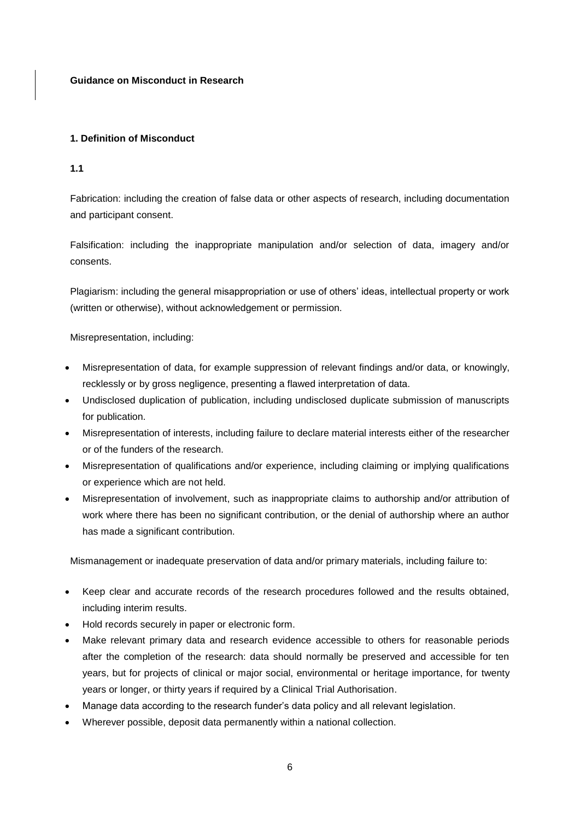**Guidance on Misconduct in Research**

# **1. Definition of Misconduct**

## **1.1**

Fabrication: including the creation of false data or other aspects of research, including documentation and participant consent.

Falsification: including the inappropriate manipulation and/or selection of data, imagery and/or consents.

Plagiarism: including the general misappropriation or use of others' ideas, intellectual property or work (written or otherwise), without acknowledgement or permission.

Misrepresentation, including:

- Misrepresentation of data, for example suppression of relevant findings and/or data, or knowingly, recklessly or by gross negligence, presenting a flawed interpretation of data.
- Undisclosed duplication of publication, including undisclosed duplicate submission of manuscripts for publication.
- Misrepresentation of interests, including failure to declare material interests either of the researcher or of the funders of the research.
- Misrepresentation of qualifications and/or experience, including claiming or implying qualifications or experience which are not held.
- Misrepresentation of involvement, such as inappropriate claims to authorship and/or attribution of work where there has been no significant contribution, or the denial of authorship where an author has made a significant contribution.

Mismanagement or inadequate preservation of data and/or primary materials, including failure to:

- Keep clear and accurate records of the research procedures followed and the results obtained, including interim results.
- Hold records securely in paper or electronic form.
- Make relevant primary data and research evidence accessible to others for reasonable periods after the completion of the research: data should normally be preserved and accessible for ten years, but for projects of clinical or major social, environmental or heritage importance, for twenty years or longer, or thirty years if required by a Clinical Trial Authorisation.
- Manage data according to the research funder's data policy and all relevant legislation.
- Wherever possible, deposit data permanently within a national collection.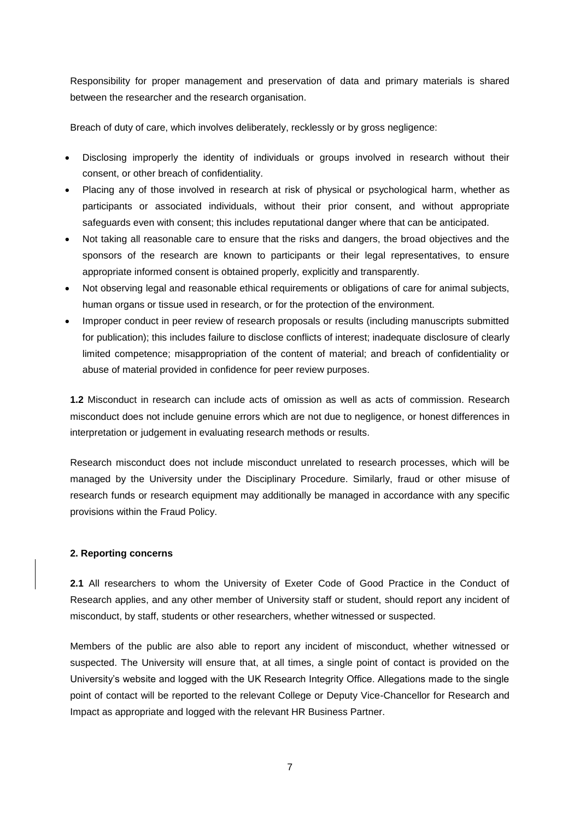Responsibility for proper management and preservation of data and primary materials is shared between the researcher and the research organisation.

Breach of duty of care, which involves deliberately, recklessly or by gross negligence:

- Disclosing improperly the identity of individuals or groups involved in research without their consent, or other breach of confidentiality.
- Placing any of those involved in research at risk of physical or psychological harm, whether as participants or associated individuals, without their prior consent, and without appropriate safeguards even with consent; this includes reputational danger where that can be anticipated.
- Not taking all reasonable care to ensure that the risks and dangers, the broad objectives and the sponsors of the research are known to participants or their legal representatives, to ensure appropriate informed consent is obtained properly, explicitly and transparently.
- Not observing legal and reasonable ethical requirements or obligations of care for animal subjects, human organs or tissue used in research, or for the protection of the environment.
- Improper conduct in peer review of research proposals or results (including manuscripts submitted for publication); this includes failure to disclose conflicts of interest; inadequate disclosure of clearly limited competence; misappropriation of the content of material; and breach of confidentiality or abuse of material provided in confidence for peer review purposes.

**1.2** Misconduct in research can include acts of omission as well as acts of commission. Research misconduct does not include genuine errors which are not due to negligence, or honest differences in interpretation or judgement in evaluating research methods or results.

Research misconduct does not include misconduct unrelated to research processes, which will be managed by the University under the Disciplinary Procedure. Similarly, [fraud or other misuse of](http://www.exeter.ac.uk/finance/policies/fraud/)  [research funds](http://www.exeter.ac.uk/finance/policies/fraud/) or research equipment may additionally be managed in accordance with any specific provisions within the Fraud Policy.

## **2. Reporting concerns**

**2.1** All researchers to whom the University of Exeter Code of Good Practice in the Conduct of Research applies, and any other member of University staff or student, should report any incident of misconduct, by staff, students or other researchers, whether witnessed or suspected.

Members of the public are also able to report any incident of misconduct, whether witnessed or suspected. The University will ensure that, at all times, a single point of contact is provided on the University's website and logged with the UK Research Integrity Office. Allegations made to the single point of contact will be reported to the relevant College or Deputy Vice-Chancellor for Research and Impact as appropriate and logged with the relevant HR Business Partner.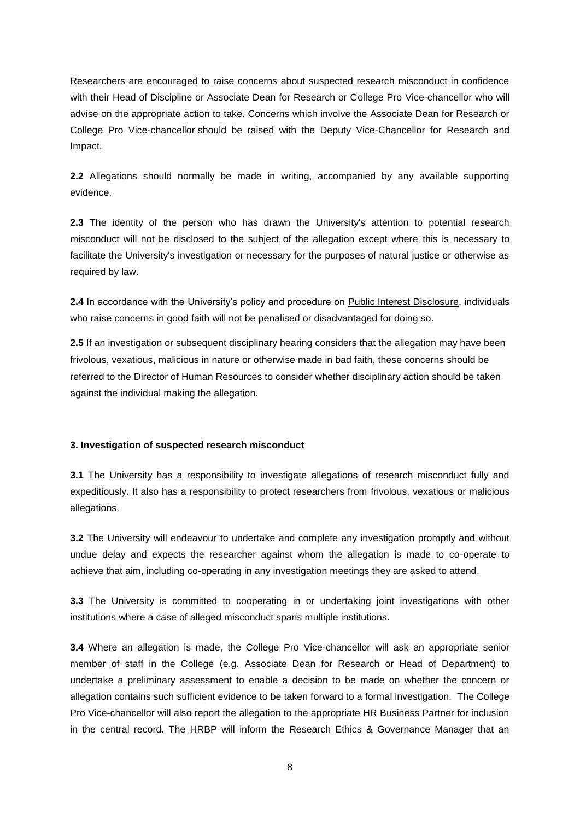Researchers are encouraged to raise concerns about suspected research misconduct in confidence with their Head of Discipline or Associate Dean for Research or College Pro Vice-chancellor who will advise on the appropriate action to take. Concerns which involve the Associate Dean for Research or College Pro Vice-chancellor should be raised with the Deputy Vice-Chancellor for Research and Impact.

**2.2** Allegations should normally be made in writing, accompanied by any available supporting evidence.

**2.3** The identity of the person who has drawn the University's attention to potential research misconduct will not be disclosed to the subject of the allegation except where this is necessary to facilitate the University's investigation or necessary for the purposes of natural justice or otherwise as required by law.

**2.4** In accordance with the University's policy and procedure on [Public Interest Disclosure,](http://www.exeter.ac.uk/staff/employment/codesofconduct/publicinterest/) individuals who raise concerns in good faith will not be penalised or disadvantaged for doing so.

**2.5** If an investigation or subsequent disciplinary hearing considers that the allegation may have been frivolous, vexatious, malicious in nature or otherwise made in bad faith, these concerns should be referred to the Director of Human Resources to consider whether disciplinary action should be taken against the individual making the allegation.

### **3. Investigation of suspected research misconduct**

**3.1** The University has a responsibility to investigate allegations of research misconduct fully and expeditiously. It also has a responsibility to protect researchers from frivolous, vexatious or malicious allegations.

**3.2** The University will endeavour to undertake and complete any investigation promptly and without undue delay and expects the researcher against whom the allegation is made to co-operate to achieve that aim, including co-operating in any investigation meetings they are asked to attend.

**3.3** The University is committed to cooperating in or undertaking joint investigations with other institutions where a case of alleged misconduct spans multiple institutions.

**3.4** Where an allegation is made, the College Pro Vice-chancellor will ask an appropriate senior member of staff in the College (e.g. Associate Dean for Research or Head of Department) to undertake a preliminary assessment to enable a decision to be made on whether the concern or allegation contains such sufficient evidence to be taken forward to a formal investigation. The College Pro Vice-chancellor will also report the allegation to the appropriate HR Business Partner for inclusion in the central record. The HRBP will inform the Research Ethics & Governance Manager that an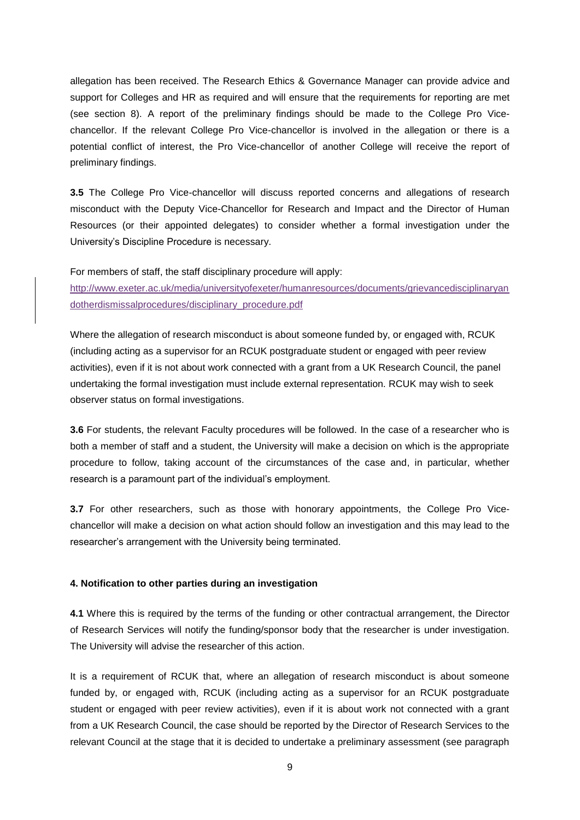allegation has been received. The Research Ethics & Governance Manager can provide advice and support for Colleges and HR as required and will ensure that the requirements for reporting are met (see section 8). A report of the preliminary findings should be made to the College Pro Vicechancellor. If the relevant College Pro Vice-chancellor is involved in the allegation or there is a potential conflict of interest, the Pro Vice-chancellor of another College will receive the report of preliminary findings.

**3.5** The College Pro Vice-chancellor will discuss reported concerns and allegations of research misconduct with the Deputy Vice-Chancellor for Research and Impact and the Director of Human Resources (or their appointed delegates) to consider whether a formal investigation under the University's Discipline Procedure is necessary.

For members of staff, the staff disciplinary procedure will apply: [http://www.exeter.ac.uk/media/universityofexeter/humanresources/documents/grievancedisciplinaryan](http://www.exeter.ac.uk/media/universityofexeter/humanresources/documents/grievancedisciplinaryandotherdismissalprocedures/disciplinary_procedure.pdf) [dotherdismissalprocedures/disciplinary\\_procedure.pdf](http://www.exeter.ac.uk/media/universityofexeter/humanresources/documents/grievancedisciplinaryandotherdismissalprocedures/disciplinary_procedure.pdf)

Where the allegation of research misconduct is about someone funded by, or engaged with, RCUK (including acting as a supervisor for an RCUK postgraduate student or engaged with peer review activities), even if it is not about work connected with a grant from a UK Research Council, the panel undertaking the formal investigation must include external representation. RCUK may wish to seek observer status on formal investigations.

**3.6** For students, the relevant Faculty procedures will be followed. In the case of a researcher who is both a member of staff and a student, the University will make a decision on which is the appropriate procedure to follow, taking account of the circumstances of the case and, in particular, whether research is a paramount part of the individual's employment.

**3.7** For other researchers, such as those with honorary appointments, the College Pro Vicechancellor will make a decision on what action should follow an investigation and this may lead to the researcher's arrangement with the University being terminated.

#### **4. Notification to other parties during an investigation**

**4.1** Where this is required by the terms of the funding or other contractual arrangement, the Director of Research Services will notify the funding/sponsor body that the researcher is under investigation. The University will advise the researcher of this action.

It is a requirement of RCUK that, where an allegation of research misconduct is about someone funded by, or engaged with, RCUK (including acting as a supervisor for an RCUK postgraduate student or engaged with peer review activities), even if it is about work not connected with a grant from a UK Research Council, the case should be reported by the Director of Research Services to the relevant Council at the stage that it is decided to undertake a preliminary assessment (see paragraph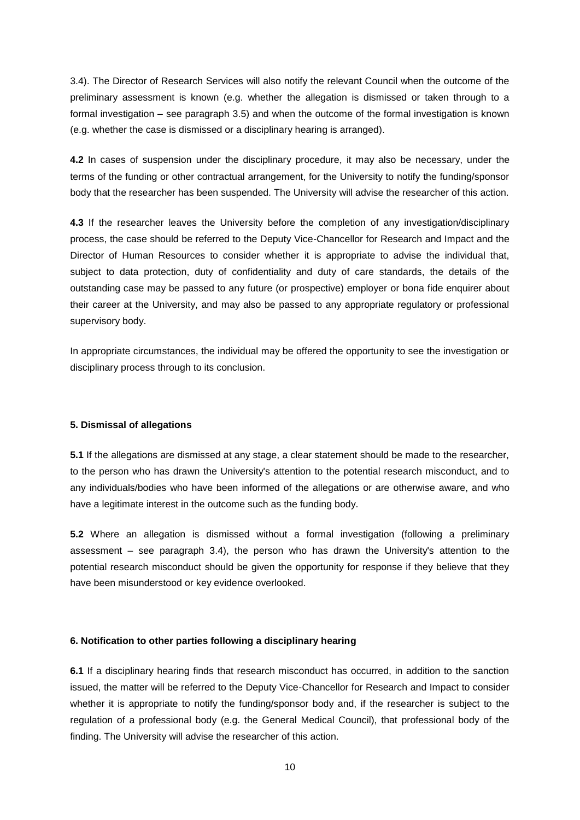3.4). The Director of Research Services will also notify the relevant Council when the outcome of the preliminary assessment is known (e.g. whether the allegation is dismissed or taken through to a formal investigation – see paragraph 3.5) and when the outcome of the formal investigation is known (e.g. whether the case is dismissed or a disciplinary hearing is arranged).

**4.2** In cases of suspension under the disciplinary procedure, it may also be necessary, under the terms of the funding or other contractual arrangement, for the University to notify the funding/sponsor body that the researcher has been suspended. The University will advise the researcher of this action.

**4.3** If the researcher leaves the University before the completion of any investigation/disciplinary process, the case should be referred to the Deputy Vice-Chancellor for Research and Impact and the Director of Human Resources to consider whether it is appropriate to advise the individual that, subject to data protection, duty of confidentiality and duty of care standards, the details of the outstanding case may be passed to any future (or prospective) employer or bona fide enquirer about their career at the University, and may also be passed to any appropriate regulatory or professional supervisory body.

In appropriate circumstances, the individual may be offered the opportunity to see the investigation or disciplinary process through to its conclusion.

#### **5. Dismissal of allegations**

**5.1** If the allegations are dismissed at any stage, a clear statement should be made to the researcher, to the person who has drawn the University's attention to the potential research misconduct, and to any individuals/bodies who have been informed of the allegations or are otherwise aware, and who have a legitimate interest in the outcome such as the funding body.

**5.2** Where an allegation is dismissed without a formal investigation (following a preliminary assessment – see paragraph 3.4), the person who has drawn the University's attention to the potential research misconduct should be given the opportunity for response if they believe that they have been misunderstood or key evidence overlooked.

#### **6. Notification to other parties following a disciplinary hearing**

**6.1** If a disciplinary hearing finds that research misconduct has occurred, in addition to the sanction issued, the matter will be referred to the Deputy Vice-Chancellor for Research and Impact to consider whether it is appropriate to notify the funding/sponsor body and, if the researcher is subject to the regulation of a professional body (e.g. the General Medical Council), that professional body of the finding. The University will advise the researcher of this action.